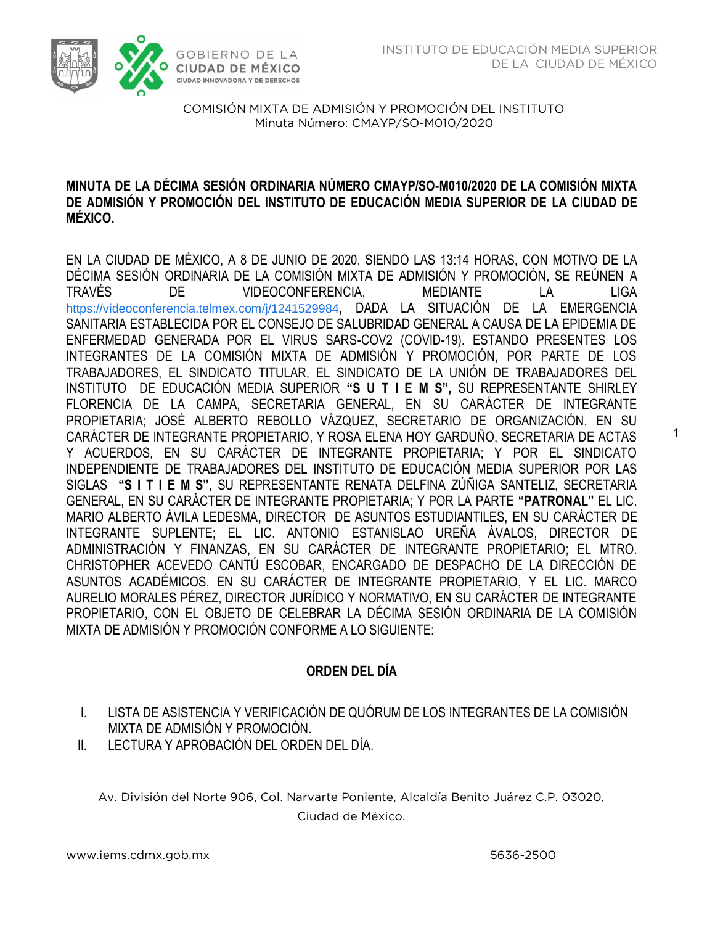1



COMISIÓN MIXTA DE ADMISIÓN Y PROMOCIÓN DEL INSTITUTO Minuta Número: CMAYP/SO-M010/2020  $M<sub>2</sub>$  Minutes  $M<sub>2</sub>$  ,  $M<sub>2</sub>$  ,  $M<sub>2</sub>$  ,  $M<sub>2</sub>$  ,  $M<sub>2</sub>$  ,  $M<sub>2</sub>$  ,  $M<sub>2</sub>$  ,  $M<sub>2</sub>$  ,  $M<sub>2</sub>$  ,  $M<sub>2</sub>$  ,  $M<sub>2</sub>$  ,  $M<sub>2</sub>$  ,  $M<sub>2</sub>$  ,  $M<sub>2</sub>$  ,  $M<sub>2</sub>$  ,  $M<sub>2</sub>$ 

# **MINUTA DE LA DÉCIMA SESIÓN ORDINARIA NÚMERO CMAYP/SO-M010/2020 DE LA COMISIÓN MIXTA DE ADMISIÓN Y PROMOCIÓN DEL INSTITUTO DE EDUCACIÓN MEDIA SUPERIOR DE LA CIUDAD DE MÉXICO.**

EN LA CIUDAD DE MÉXICO, A 8 DE JUNIO DE 2020, SIENDO LAS 13:14 HORAS, CON MOTIVO DE LA DÉCIMA SESIÓN ORDINARIA DE LA COMISIÓN MIXTA DE ADMISIÓN Y PROMOCIÓN, SE REÚNEN A TRAVÉS DE VIDEOCONFERENCIA, MEDIANTE LA LIGA [https://videoconferencia.telmex.com/j/1241529984](https://www.google.com/url?q=https://videoconferencia.telmex.com/j/1241529984&sa=D&ust=1591827371117000&usg=AOvVaw2Z9NXLWthYuSVz6Seiv8xc), DADA LA SITUACIÓN DE LA EMERGENCIA SANITARIA ESTABLECIDA POR EL CONSEJO DE SALUBRIDAD GENERAL A CAUSA DE LA EPIDEMIA DE ENFERMEDAD GENERADA POR EL VIRUS SARS-COV2 (COVID-19). ESTANDO PRESENTES LOS INTEGRANTES DE LA COMISIÓN MIXTA DE ADMISIÓN Y PROMOCIÓN, POR PARTE DE LOS TRABAJADORES, EL SINDICATO TITULAR, EL SINDICATO DE LA UNIÓN DE TRABAJADORES DEL INSTITUTO DE EDUCACIÓN MEDIA SUPERIOR **"S U T I E M S",** SU REPRESENTANTE SHIRLEY FLORENCIA DE LA CAMPA, SECRETARIA GENERAL, EN SU CARÁCTER DE INTEGRANTE PROPIETARIA; JOSÉ ALBERTO REBOLLO VÁZQUEZ, SECRETARIO DE ORGANIZACIÓN, EN SU CARÁCTER DE INTEGRANTE PROPIETARIO, Y ROSA ELENA HOY GARDUÑO, SECRETARIA DE ACTAS Y ACUERDOS, EN SU CARÁCTER DE INTEGRANTE PROPIETARIA; Y POR EL SINDICATO INDEPENDIENTE DE TRABAJADORES DEL INSTITUTO DE EDUCACIÓN MEDIA SUPERIOR POR LAS SIGLAS **"S I T I E M S",** SU REPRESENTANTE RENATA DELFINA ZÚÑIGA SANTELIZ, SECRETARIA GENERAL, EN SU CARÁCTER DE INTEGRANTE PROPIETARIA; Y POR LA PARTE **"PATRONAL"** EL LIC. MARIO ALBERTO ÁVILA LEDESMA, DIRECTOR DE ASUNTOS ESTUDIANTILES, EN SU CARÁCTER DE INTEGRANTE SUPLENTE; EL LIC. ANTONIO ESTANISLAO UREÑA ÁVALOS, DIRECTOR DE ADMINISTRACIÓN Y FINANZAS, EN SU CARÁCTER DE INTEGRANTE PROPIETARIO; EL MTRO. CHRISTOPHER ACEVEDO CANTÚ ESCOBAR, ENCARGADO DE DESPACHO DE LA DIRECCIÓN DE ASUNTOS ACADÉMICOS, EN SU CARÁCTER DE INTEGRANTE PROPIETARIO, Y EL LIC. MARCO AURELIO MORALES PÉREZ, DIRECTOR JURÍDICO Y NORMATIVO, EN SU CARÁCTER DE INTEGRANTE PROPIETARIO, CON EL OBJETO DE CELEBRAR LA DÉCIMA SESIÓN ORDINARIA DE LA COMISIÓN MIXTA DE ADMISIÓN Y PROMOCIÓN CONFORME A LO SIGUIENTE:

# **ORDEN DEL DÍA**

- I. LISTA DE ASISTENCIA Y VERIFICACIÓN DE QUÓRUM DE LOS INTEGRANTES DE LA COMISIÓN MIXTA DE ADMISIÓN Y PROMOCIÓN.
- II. LECTURA Y APROBACIÓN DEL ORDEN DEL DÍA.

Av. División del Norte 906, Col. Narvarte Poniente, Alcaldía Benito Juárez C.P. 03020, Ciudad de México.

 $\mathcal{L}_{\mathcal{L}}$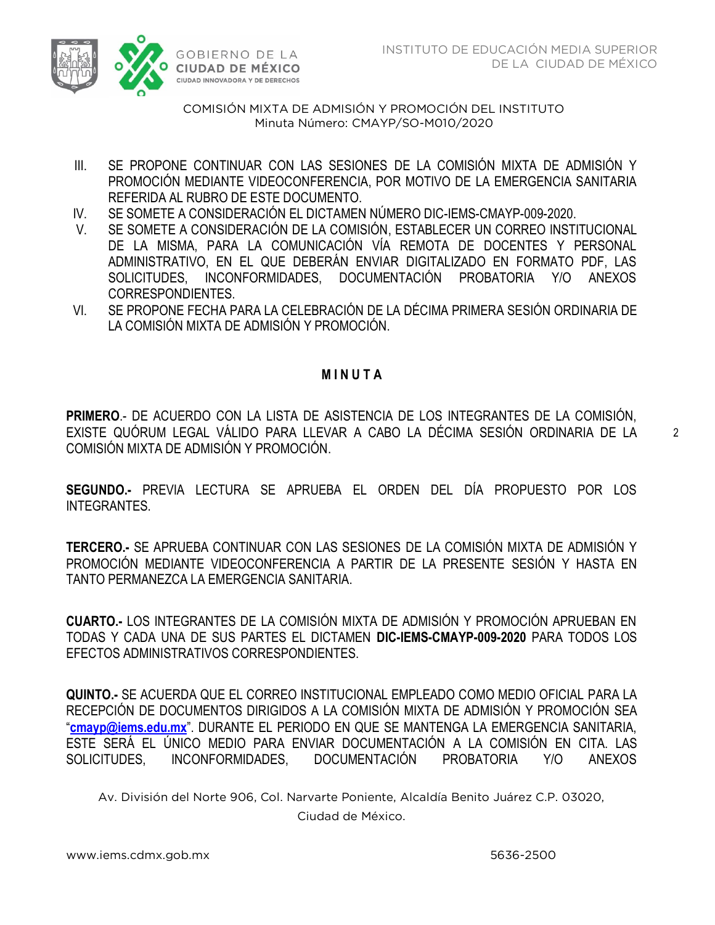

COMISIÓN MIXTA DE ADMISIÓN Y PROMOCIÓN DEL INSTITUTO Minuta Número: CMAYP/SO-M010/2020  $M<sub>2</sub>$  Minutes  $M<sub>2</sub>$  ,  $M<sub>2</sub>$  ,  $M<sub>2</sub>$  ,  $M<sub>2</sub>$  ,  $M<sub>2</sub>$  ,  $M<sub>2</sub>$  ,  $M<sub>2</sub>$  ,  $M<sub>2</sub>$  ,  $M<sub>2</sub>$  ,  $M<sub>2</sub>$  ,  $M<sub>2</sub>$  ,  $M<sub>2</sub>$  ,  $M<sub>2</sub>$  ,  $M<sub>2</sub>$  ,  $M<sub>2</sub>$  ,  $M<sub>2</sub>$ 

- III. SE PROPONE CONTINUAR CON LAS SESIONES DE LA COMISIÓN MIXTA DE ADMISIÓN Y PROMOCIÓN MEDIANTE VIDEOCONFERENCIA, POR MOTIVO DE LA EMERGENCIA SANITARIA REFERIDA AL RUBRO DE ESTE DOCUMENTO.
- IV. SE SOMETE A CONSIDERACIÓN EL DICTAMEN NÚMERO DIC-IEMS-CMAYP-009-2020.
- V. SE SOMETE A CONSIDERACIÓN DE LA COMISIÓN, ESTABLECER UN CORREO INSTITUCIONAL DE LA MISMA, PARA LA COMUNICACIÓN VÍA REMOTA DE DOCENTES Y PERSONAL ADMINISTRATIVO, EN EL QUE DEBERÁN ENVIAR DIGITALIZADO EN FORMATO PDF, LAS SOLICITUDES, INCONFORMIDADES, DOCUMENTACIÓN PROBATORIA Y/O ANEXOS CORRESPONDIENTES.
- VI. SE PROPONE FECHA PARA LA CELEBRACIÓN DE LA DÉCIMA PRIMERA SESIÓN ORDINARIA DE LA COMISIÓN MIXTA DE ADMISIÓN Y PROMOCIÓN.

# **M I N U T A**

**PRIMERO**.- DE ACUERDO CON LA LISTA DE ASISTENCIA DE LOS INTEGRANTES DE LA COMISIÓN, EXISTE QUÓRUM LEGAL VÁLIDO PARA LLEVAR A CABO LA DÉCIMA SESIÓN ORDINARIA DE LA COMISIÓN MIXTA DE ADMISIÓN Y PROMOCIÓN.

**SEGUNDO.-** PREVIA LECTURA SE APRUEBA EL ORDEN DEL DÍA PROPUESTO POR LOS INTEGRANTES.

**TERCERO.-** SE APRUEBA CONTINUAR CON LAS SESIONES DE LA COMISIÓN MIXTA DE ADMISIÓN Y PROMOCIÓN MEDIANTE VIDEOCONFERENCIA A PARTIR DE LA PRESENTE SESIÓN Y HASTA EN TANTO PERMANEZCA LA EMERGENCIA SANITARIA.

**CUARTO.-** LOS INTEGRANTES DE LA COMISIÓN MIXTA DE ADMISIÓN Y PROMOCIÓN APRUEBAN EN TODAS Y CADA UNA DE SUS PARTES EL DICTAMEN **DIC-IEMS-CMAYP-009-2020** PARA TODOS LOS EFECTOS ADMINISTRATIVOS CORRESPONDIENTES.

**QUINTO.-** SE ACUERDA QUE EL CORREO INSTITUCIONAL EMPLEADO COMO MEDIO OFICIAL PARA LA RECEPCIÓN DE DOCUMENTOS DIRIGIDOS A LA COMISIÓN MIXTA DE ADMISIÓN Y PROMOCIÓN SEA "**[cmayp@iems.edu.mx](mailto:cmayp@iems.edu.mx)**". DURANTE EL PERIODO EN QUE SE MANTENGA LA EMERGENCIA SANITARIA, ESTE SERÁ EL ÚNICO MEDIO PARA ENVIAR DOCUMENTACIÓN A LA COMISIÓN EN CITA. LAS SOLICITUDES, INCONFORMIDADES, DOCUMENTACIÓN PROBATORIA Y/O ANEXOS

Av. División del Norte 906, Col. Narvarte Poniente, Alcaldía Benito Juárez C.P. 03020, Ciudad de México.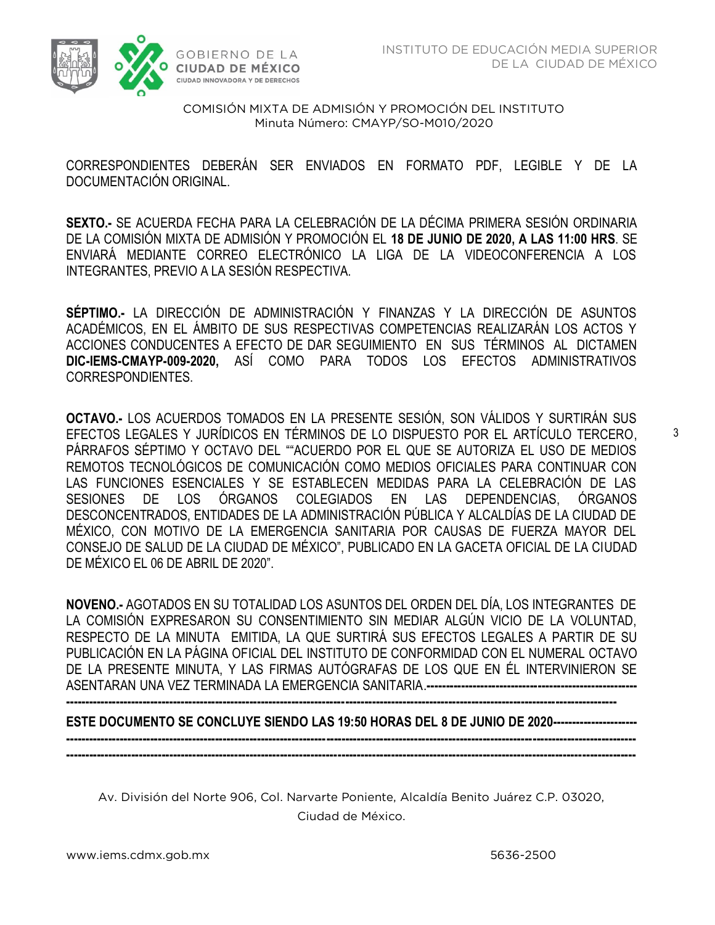

COMISIÓN MIXTA DE ADMISIÓN Y PROMOCIÓN DEL INSTITUTO Minuta Número: CMAYP/SO-M010/2020  $M<sub>2</sub>$  Minutes  $M<sub>2</sub>$  ,  $M<sub>2</sub>$  ,  $M<sub>2</sub>$  ,  $M<sub>2</sub>$  ,  $M<sub>2</sub>$  ,  $M<sub>2</sub>$  ,  $M<sub>2</sub>$  ,  $M<sub>2</sub>$  ,  $M<sub>2</sub>$  ,  $M<sub>2</sub>$  ,  $M<sub>2</sub>$  ,  $M<sub>2</sub>$  ,  $M<sub>2</sub>$  ,  $M<sub>2</sub>$  ,  $M<sub>2</sub>$  ,  $M<sub>2</sub>$ 

 CORRESPONDIENTES DEBERÁN SER ENVIADOS EN FORMATO PDF, LEGIBLE Y DE LA DOCUMENTACIÓN ORIGINAL.

**SEXTO.-** SE ACUERDA FECHA PARA LA CELEBRACIÓN DE LA DÉCIMA PRIMERA SESIÓN ORDINARIA DE LA COMISIÓN MIXTA DE ADMISIÓN Y PROMOCIÓN EL **18 DE JUNIO DE 2020, A LAS 11:00 HRS**. SE ENVIARÁ MEDIANTE CORREO ELECTRÓNICO LA LIGA DE LA VIDEOCONFERENCIA A LOS INTEGRANTES, PREVIO A LA SESIÓN RESPECTIVA.

**SÉPTIMO.-** LA DIRECCIÓN DE ADMINISTRACIÓN Y FINANZAS Y LA DIRECCIÓN DE ASUNTOS ACADÉMICOS, EN EL ÁMBITO DE SUS RESPECTIVAS COMPETENCIAS REALIZARÁN LOS ACTOS Y ACCIONES CONDUCENTES A EFECTO DE DAR SEGUIMIENTO EN SUS TÉRMINOS AL DICTAMEN **DIC-IEMS-CMAYP-009-2020,** ASÍ COMO PARA TODOS LOS EFECTOS ADMINISTRATIVOS CORRESPONDIENTES.

**OCTAVO.-** LOS ACUERDOS TOMADOS EN LA PRESENTE SESIÓN, SON VÁLIDOS Y SURTIRÁN SUS EFECTOS LEGALES Y JURÍDICOS EN TÉRMINOS DE LO DISPUESTO POR EL ARTÍCULO TERCERO, PÁRRAFOS SÉPTIMO Y OCTAVO DEL ""ACUERDO POR EL QUE SE AUTORIZA EL USO DE MEDIOS REMOTOS TECNOLÓGICOS DE COMUNICACIÓN COMO MEDIOS OFICIALES PARA CONTINUAR CON LAS FUNCIONES ESENCIALES Y SE ESTABLECEN MEDIDAS PARA LA CELEBRACIÓN DE LAS SESIONES DE LOS ÓRGANOS COLEGIADOS EN LAS DEPENDENCIAS, ÓRGANOS DESCONCENTRADOS, ENTIDADES DE LA ADMINISTRACIÓN PÚBLICA Y ALCALDÍAS DE LA CIUDAD DE MÉXICO, CON MOTIVO DE LA EMERGENCIA SANITARIA POR CAUSAS DE FUERZA MAYOR DEL CONSEJO DE SALUD DE LA CIUDAD DE MÉXICO", PUBLICADO EN LA GACETA OFICIAL DE LA CIUDAD DE MÉXICO EL 06 DE ABRIL DE 2020".

**NOVENO.-** AGOTADOS EN SU TOTALIDAD LOS ASUNTOS DEL ORDEN DEL DÍA, LOS INTEGRANTES DE LA COMISIÓN EXPRESARON SU CONSENTIMIENTO SIN MEDIAR ALGÚN VICIO DE LA VOLUNTAD, RESPECTO DE LA MINUTA EMITIDA, LA QUE SURTIRÁ SUS EFECTOS LEGALES A PARTIR DE SU PUBLICACIÓN EN LA PÁGINA OFICIAL DEL INSTITUTO DE CONFORMIDAD CON EL NUMERAL OCTAVO DE LA PRESENTE MINUTA, Y LAS FIRMAS AUTÓGRAFAS DE LOS QUE EN ÉL INTERVINIERON SE ASENTARAN UNA VEZ TERMINADA LA EMERGENCIA SANITARIA.**------------------------------------------------------- ------------------------------------------------------------------------------------------------------------------------------------------------**

**ESTE DOCUMENTO SE CONCLUYE SIENDO LAS 19:50 HORAS DEL 8 DE JUNIO DE 2020----------------------**

Av. División del Norte 906, Col. Narvarte Poniente, Alcaldía Benito Juárez C.P. 03020, Ciudad de México.

**----------------------------------------------------------------------------------------------------------------------------------------------------- -----------------------------------------------------------------------------------------------------------------------------------------------------**

 $\mathcal{L}_{\mathcal{L}}$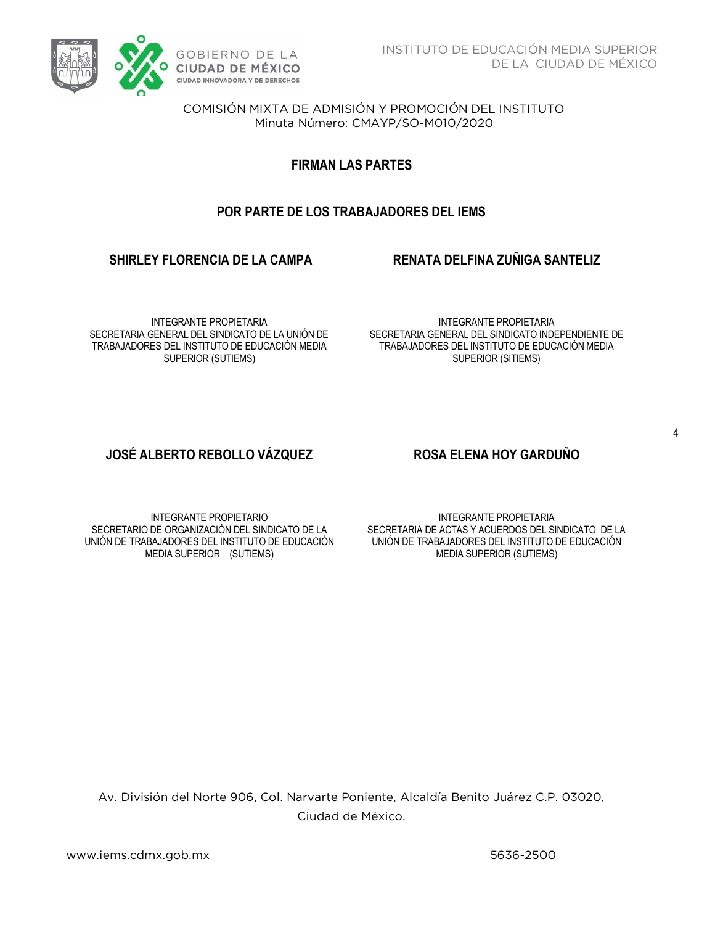

COMISIÓN MIXTA DE ADMISIÓN Y PROMOCIÓN DEL INSTITUTO Minuta Número: CMAYP/SO-M010/2020  $M<sub>2</sub>$  Minutes  $M<sub>2</sub>$  ,  $M<sub>2</sub>$  ,  $M<sub>2</sub>$  ,  $M<sub>2</sub>$  ,  $M<sub>2</sub>$  ,  $M<sub>2</sub>$  ,  $M<sub>2</sub>$  ,  $M<sub>2</sub>$  ,  $M<sub>2</sub>$  ,  $M<sub>2</sub>$  ,  $M<sub>2</sub>$  ,  $M<sub>2</sub>$  ,  $M<sub>2</sub>$  ,  $M<sub>2</sub>$  ,  $M<sub>2</sub>$  ,  $M<sub>2</sub>$ 

**FIRMAN LAS PARTES**

# **POR PARTE DE LOS TRABAJADORES DEL IEMS**

# **SHIRLEY FLORENCIA DE LA CAMPA RENATA DELFINA ZUÑIGA SANTELIZ**

INTEGRANTE PROPIETARIA SECRETARIA GENERAL DEL SINDICATO DE LA UNIÓN DE TRABAJADORES DEL INSTITUTO DE EDUCACIÓN MEDIA SUPERIOR (SUTIEMS)

INTEGRANTE PROPIETARIA SECRETARIA GENERAL DEL SINDICATO INDEPENDIENTE DE TRABAJADORES DEL INSTITUTO DE EDUCACIÓN MEDIA SUPERIOR (SITIEMS)

# **JOSÉ ALBERTO REBOLLO VÁZQUEZ ROSA ELENA HOY GARDUÑO**

INTEGRANTE PROPIETARIO SECRETARIO DE ORGANIZACIÓN DEL SINDICATO DE LA UNIÓN DE TRABAJADORES DEL INSTITUTO DE EDUCACIÓN MEDIA SUPERIOR (SUTIEMS)

INTEGRANTE PROPIETARIA SECRETARIA DE ACTAS Y ACUERDOS DEL SINDICATO DE LA UNIÓN DE TRABAJADORES DEL INSTITUTO DE EDUCACIÓN MEDIA SUPERIOR (SUTIEMS)

Av. División del Norte 906, Col. Narvarte Poniente, Alcaldía Benito Juárez C.P. 03020, Ciudad de México.